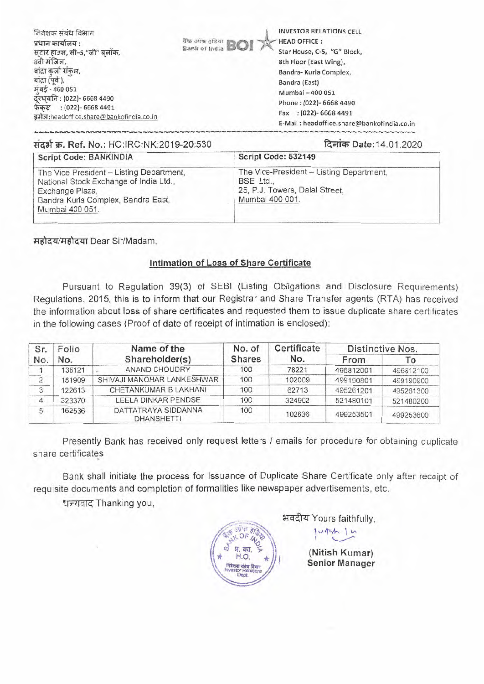| निवेशक संबंध विभाग<br>प्रधान कार्यालय :<br>सटार हाउस, सी-5,"जी" बलॉक,<br>8वी मंजिल,<br>बांद्रा कर्ला संकल,<br>बांद्रा (पूर्व ),<br>मुंबई - 400 051<br>दूरध्वनि: (022)- 6668 4490<br>फेकस : (022)- 6668 4491<br>इमेल:headoffice.share@bankofindia.co.in | <b>INVESTOR RELATIONS CELL</b><br><b>The adventure BOI</b><br><b>HEAD OFFICE:</b><br>Star House, C-5, "G" Block,<br>8th Floor (East Wing),<br>Bandra- Kurla Complex,<br>Bandra (East)<br>Mumbai - 400 051<br>Phone: (022)- 6668 4490<br>Fax : (022)- 6668 4491<br>E-Mail: headoffice.share@bankofindia.co.in |
|--------------------------------------------------------------------------------------------------------------------------------------------------------------------------------------------------------------------------------------------------------|--------------------------------------------------------------------------------------------------------------------------------------------------------------------------------------------------------------------------------------------------------------------------------------------------------------|
|--------------------------------------------------------------------------------------------------------------------------------------------------------------------------------------------------------------------------------------------------------|--------------------------------------------------------------------------------------------------------------------------------------------------------------------------------------------------------------------------------------------------------------------------------------------------------------|

#### संदर्भ क्र. Ref. No.: HO:IRC:NK:2019-20:530 (दिनांक Date:14.01.2020)

| <b>Script Code: BANKINDIA</b>                                                                                                                                  | Script Code: 532149                                                                                        |
|----------------------------------------------------------------------------------------------------------------------------------------------------------------|------------------------------------------------------------------------------------------------------------|
| The Vice President - Listing Department,<br>National Stock Exchange of India Ltd.,<br>Exchange Plaza,<br>Bandra Kurla Complex, Bandra East,<br>Mumbai 400 051. | The Vice-President - Listing Department,<br>BSE Ltd.,<br>25, P.J. Towers, Dalal Street,<br>Mumbai 400 001. |

महोदय/महोदया Dear Sir/Madam,

#### **Intimation** of Loss of Share Certificate

Pursuant to Regulation 39(3) of SEBI (Listing Obligations and Disclosure Requirements) Regulations, 2015, this is to inform that our Registrar and Share Transfer agents (RTA) has received the information about loss of share certificates and requested them to issue duplicate share certificates in the following cases (Proof of date of receipt of intimation is enclosed):

| Sr. | Folio  | Name of the                              | No. of        | Certificate |           | Distinctive Nos. |
|-----|--------|------------------------------------------|---------------|-------------|-----------|------------------|
| No. | No.    | Shareholder(s)                           | <b>Shares</b> | No.         | From      | Гο               |
|     | 138121 | ANAND CHOUDRY                            | 100           | 78221       | 496812001 | 496812100        |
| 2   | 161909 | SHIVAJI MANOHAR LANKESHWAR               | 100           | 102009      | 499190801 | 499190900        |
| 3   | 122613 | CHETANKUMAR B LAKHANI                    | 100           | 62713       | 495261201 | 495261300        |
|     | 323370 | LEELA DINKAR PENDSE                      | 100           | 324902      | 521480101 | 521480200        |
| 5   | 162536 | DATTATRAYA SIDDANNA<br><b>DHANSHETTI</b> | 100           | 102636      | 499253501 | 499253600        |

Presently Bank has received only request letters / emails for procedure for obtaining duplicate share certificates

Bank shall initiate the process for Issuance of Duplicate Share Certificate only after receipt of requisite documents and completion of formalities like newspaper advertisements, etc.

धन्यवाद Thanking you,



भवदीय Yours faithfully,

ours faithfully<br>いかいしい I

(Nitish Kumar) Senior Manager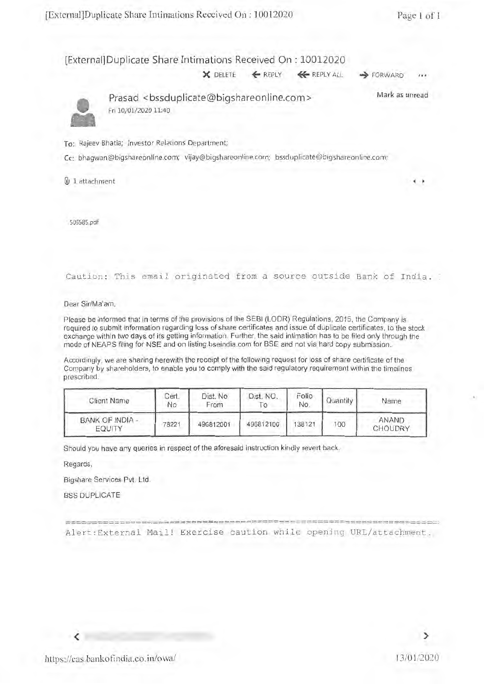#### [External]Duplicate Share Intimations Received On : 10012020

**X DELETE ← REPLY ← REPLY ALL → FORWARD** 



Prasad <bssduplicate@bigshareonline.com> Fri 10/01/2020 11:40 Mark as unread

To: Rajeev Bhatia; Investor Relations Department;

Cc: bhagwan@bigshareonline.com; vijay@bigshareonline.com; bssduplicate@bigshareonline.com;

**Q** 1 attachment

506585.pdf

Caution: This email originated from a source outside Bank of India.

Dear Sir/Ma'am,

Please be informed that in terms of the provisions of the SEBI (LODR) Regulations, 2015, the Company is required to submit information regarding loss of share certificates and issue of duplicate certificates, to the stock exchange within two days of its getting information. Further, the said intimation has to be filed only through the mode of NEAPS filing for NSE and on listing.bseindia.com for BSE and not via hard copy submission.

Accordingly, we are sharing herewith the receipt of the following request for loss of share certificate of the Company by shareholders, to enable you to comply with the said regulatory requirement within the timelines prescribed.

| <b>Client Name</b>        | Cert.<br>No | Dist. No.<br>From | Dist, NO.<br>$\circ$ | Folio<br>No. | Quantity | Name                    |
|---------------------------|-------------|-------------------|----------------------|--------------|----------|-------------------------|
| BANK OF INDIA -<br>EQUITY | 78221       | 496812001         | 496812100            | 138121       | 100      | <b>ANAND</b><br>CHOUDRY |

Should you have any queries in respect of the aforesaid instruction kindly revert back.

Regards,

Bigshare Services Pvt. Ltd.

BSS DUPLICATE

--------------------------------------------- Alert:External Mail! Exercise caution while opening URL/attachment.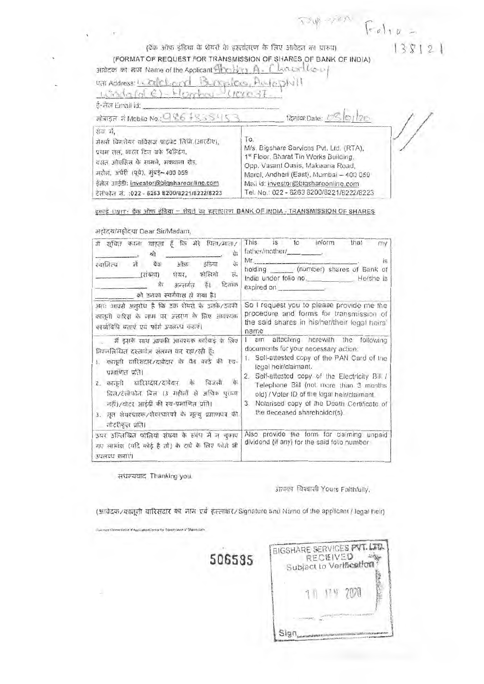双电子成  $F_{e}$  $13812$ (वैंक ऑफ़ इंडिया के शेयरों के हस्तांतरण के लिए आवेदन का पारूप) (FORMAT OF REQUEST FOR TRANSMISSION OF SHARES OF BANK OF INDIA) Chanolloy आवेदक का नाम Name of the Applicant Hero Mean A . URI Address: 1. Calcury AutoDNII  $L^{n}\Omega_{0}$  (of  $C$ ) - Higgsbase  $U^m$ ई-लैल Email id: अध्याइल में Mobile No.: 086 \$835416 दिनांक:Date: ( रोवा में, To. जेसरी विभागेयर सर्विसंज प्राप्टवेट लिजि.(आरटीए), M/s. Bigshare Services Pvt. Ltd. (RTA). प्रथम तल, भारत टिन वर्फ विल्डिंग. 1st Floor, Bharat Tin Works Building, वसत औएसिस के सामने, मकवाना रोड, Opp. Vasant Oasis, Makwana Road, गरोल, अंधेरी (पूर्व), मुंबई- 400 059 Marol, Andheri (East), Mumbai - 400 059 ईमेल आईडी: investor@bigshareonline.com Maii id: investor@bigshareonline.com टेलीफोन लं. : 022 - 6263 8200/8221/8222/8223 Tel. No.: 022 - 6263 8200/8221/8222/8223

इकाई UNIT: बैंक ऑफ़ इंडिया - शेयरों का हस्तातरण BANK OF INDIA - TRANSMISSION OF SHARES

अहॉदय/महोदया Dear Sir/Madam,

| में सुचित करना चाहता हैं कि भेरे पिता/माता/<br>वेः<br>গী<br>में बैंक ऑफ़ इंडिया<br>詀<br>स्वामित्य<br>फोलियो<br>(संख्या) शेयर,<br>H.<br>ये अन्तर्गत हैं। दिनाक<br>को उनका स्वर्गवास हो गया है।                                                                                                                                                                                       | This is to<br>inform<br>that<br>mv<br>father/mother/<br>$Mr_{\text{max}}$<br>iS<br>holding _______ (number) shares of Bank of<br>India under folio no.<br>He/she is<br>expired on                                                                                                                                                                                                  |  |  |  |
|-------------------------------------------------------------------------------------------------------------------------------------------------------------------------------------------------------------------------------------------------------------------------------------------------------------------------------------------------------------------------------------|------------------------------------------------------------------------------------------------------------------------------------------------------------------------------------------------------------------------------------------------------------------------------------------------------------------------------------------------------------------------------------|--|--|--|
| अतः आपसे अनुरोध है कि उक्त शेयरों के उनके/उनकी<br>कालूनी वारिस के नाम पर अंतरण के लिए आवश्यक<br>कार्याविधि बताएं एवं फॉर्म उपलब्ध कराएं।                                                                                                                                                                                                                                            | So I request you to please provide me the<br>procedure and forms for transmission of<br>the said shares in his/her/their legal heirs'<br>name                                                                                                                                                                                                                                      |  |  |  |
| मैं इसके साथ आपकी आवश्यक कार्रवाई के लिए<br>निम्नलिखित दस्तावेज़ संलम्न कर रहा/रही हैं:<br>।. कालूनी वारिसदार/दावेदार के पैन कार्ड की स्व-<br>प्रमाणत प्रति।<br>2. कानूनी यारिसदार/दावेदार के विजली<br>$\vec{a}$<br>विल/टेलीपोल बिल (3 ग्रहीलों से अधिक पुराना<br>नहीं)/वोटर आईडी की स्व-प्रमाणित प्रति।<br>3. मृत शेयरधारक/शेयरधारकों के मृत्यू प्रज्ञाणपत्र की<br>नोटरीकृत प्रति। | I am altaching herewith the following<br>documents for your necessary action:<br>1. Seli-attested copy of the PAN Card of the<br>legal heir/claimant.<br>2. Self-attested copy of the Electricity Bill /<br>Telephone Bill (not more than 3 months<br>old) / Voter ID of the legal heir/claimant.<br>3. Notarised copy of the Death Certificate of<br>the deceased shareholder(s). |  |  |  |
| ऊपर उल्लिखित फोलियो संख्या के संबंध में न चुकाए<br>गए लाभांश (यदि कोई है तो) के दावे के लिए फोर्म भी<br>उपलब्ध कराएं।                                                                                                                                                                                                                                                               | Also provide the form for claiming unpaid<br>dividend (if any) for the said folio number                                                                                                                                                                                                                                                                                           |  |  |  |

संधन्यवाद Thanking you.

आपका विश्वासी Yours Faithfully.

(आवेदक/कानूनी यारिसदार का नाम एवं हस्ताक्षर/Signature and Name of the applicant / legal heir)

506585

|     | <b>RECEIVED</b> | Subject to Vertheation |  |
|-----|-----------------|------------------------|--|
| 7 M |                 | 1142700                |  |
|     |                 |                        |  |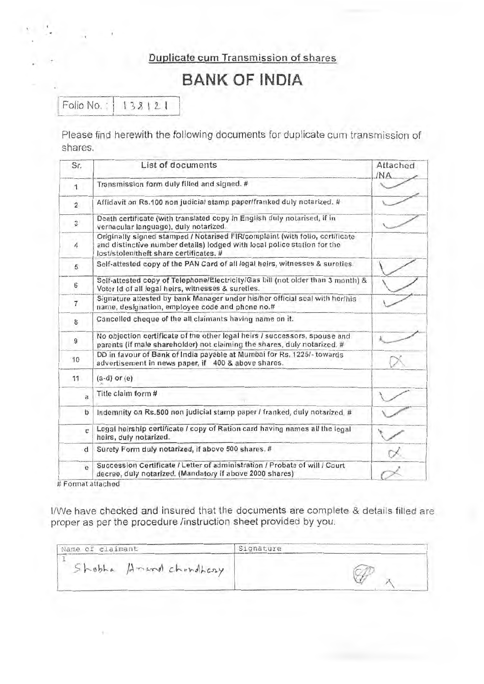## Duplicate cum Transmission of shares

# **BANK OF INDIA**

Folio No.: 138121

Please find herewith the following documents for duplicate cum transmission of shares.

| Sr.               | List of documents                                                                                                                                                                                   | Attached<br><b>INA</b> |  |  |
|-------------------|-----------------------------------------------------------------------------------------------------------------------------------------------------------------------------------------------------|------------------------|--|--|
| 1                 | Transmission form duly filled and signed. #                                                                                                                                                         |                        |  |  |
| $\overline{c}$    | Affidavit on Rs.100 non judicial stamp paper/franked duly notarized. #                                                                                                                              |                        |  |  |
| $\mathbf{3}$      | Death certificate (with translated copy in English duly notarised, if in<br>vernacular language), duly notarized.                                                                                   |                        |  |  |
| 4                 | Originally signed stamped / Notarised FIR/complaint (with folio, certificate<br>and distinctive number details) lodged with local police station for the<br>lost/stolen/theft share certificates. # |                        |  |  |
| 5                 | Self-attested copy of the PAN Card of all legal heirs, witnesses & sureties.                                                                                                                        |                        |  |  |
| 6                 | Self-attested copy of Telephone/Electricity/Gas bill (not older than 3 month) &<br>Voter Id of all legal heirs, witnesses & sureties.                                                               |                        |  |  |
| $\overline{\tau}$ | Signature attested by bank Manager under his/her official seal with her/his<br>name, designation, employee code and phone no.#                                                                      |                        |  |  |
| 8                 | Cancelled cheque of the all claimants having name on it.                                                                                                                                            |                        |  |  |
| 9                 | No objection certificate of the other legal heirs / successors, spouse and<br>parents (if male shareholder) not claiming the shares, duly notarized. #                                              |                        |  |  |
| 10                | DD in favour of Bank of India payable at Mumbai for Rs. 1225/- towards<br>advertisement in news paper, if 400 & above shares.                                                                       |                        |  |  |
| 11                | $(a-d)$ or $(e)$                                                                                                                                                                                    |                        |  |  |
| a                 | Title claim form #                                                                                                                                                                                  |                        |  |  |
| b                 | Indemnity on Rs.500 non judicial stamp paper / franked, duly notarized. #                                                                                                                           |                        |  |  |
| C.                | Legal heirship certificate / copy of Ration card having names all the legal<br>heirs, duly notarized.                                                                                               |                        |  |  |
| d                 | Surety Form duly notarized, if above 500 shares. #                                                                                                                                                  |                        |  |  |
| $\mathbf{e}$      | Succession Certificate / Letter of administration / Probate of will / Court<br>decree, duly notarized. (Mandatory if above 2000 shares)                                                             |                        |  |  |

# Format attached

I/We have checked and insured that the documents are complete & details filled are proper as per the procedure /instruction sheet provided by you.

| Name of claimant       | Signature |
|------------------------|-----------|
| Shobha Amand chundhasy |           |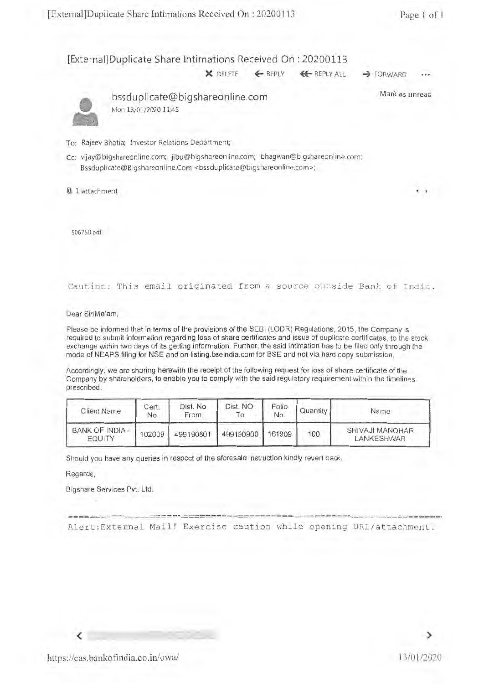#### [External]Duplicate Share Intimations Received On : 20200113

X DELETE ← REPLY ← REPLY ALL → FORWARD



bssduplicate@bigshareonline.com Mon 13/01/2020 11:45

Mark as unread

To: Rajeev Bhatia; Investor Relations Department;

- Cc: vijay@bigshareonline.com; jibu@bigshareonline.com; bhagwan@bigshareonline.com; Bssduplicate@Bigshareonline.Com <bssduplicate@bigshareonline.com>;
- 1 attachment **<sup>4</sup>**

506750.0f

Caution: This email originated from a source outside Bank of India.

Dear Sir/Ma'am,

Please be informed that in terms of the provisions of the SEBI (LODR) Regulations, 2015, the Company is required to submit information regarding loss of share certificates and issue of duplicate certificates, to the stock exchange within two days of its getting information. Further, the said intimation has to be filed only through the mode of NEAPS filing for NSE and on listing.bseindia.com for BSE and not via hard copy submission.

Accordingly, we are sharing herewith the receipt of the following request for loss of share certificate of the Company by shareholders, to enable you to comply with the said regulatory requirement within the timelines prescribed.

| <b>Client Name</b>        | Cert.<br>No | Dist. No<br>From | Dist. NO.           | Folio<br>No. | Quantity | Name                          |
|---------------------------|-------------|------------------|---------------------|--------------|----------|-------------------------------|
| BANK OF INDIA -<br>EQUITY | 102009      |                  | 499190801 499190900 | 161909       | 100      | SHIVAJI MANOHAR<br>LANKESHWAR |

Should you have any queries in respect of the aforesaid instruction kindly revert back.

Regards,

Bigshare Services Pvt. Ltd.

==================================================================== Alert:External Mail! Exercise caution while opening URL/attachment.

https://cas.bankofindia.co.in/owa/ 13/01/2020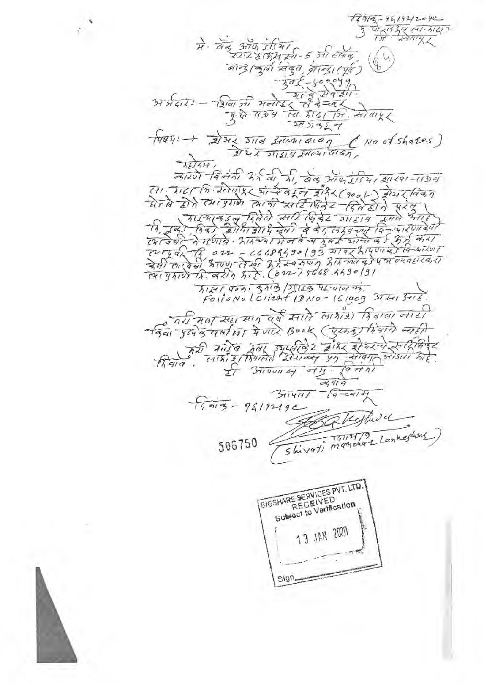$913 - 9519212092$  $\frac{1}{3}$   $\frac{1}{9}$   $\frac{1}{3}$   $\frac{1}{2}$   $\frac{1}{2}$   $\frac{1}{3}$   $\frac{1}{4}$  $\vec{A}$ . 975 3174 21541 बान्द्रान्तुर्मा संबुग वान्द्रा (पूर्व)  $375777 - 1219157 + 76752 - 89372$  $\frac{1}{\sqrt{qqq}}$  +  $\frac{1}{2!3!}$   $\frac{1}{4}$   $\frac{1}{3!4}$   $\frac{1}{4}$   $\frac{1}{3!4}$   $\frac{1}{4}$   $\frac{1}{3!4}$   $\frac{1}{4}$   $\frac{1}{4!4}$   $\frac{1}{4!4}$   $\frac{1}{4!4}$   $\frac{1}{4!4}$  $\frac{1}{\lambda t^{1.426}}$ बारणे विलंती रर्त की भी बंद आयोगिया गाया-15319 TIKI Toni zio / STIEG TENIER 77.<br>Follono l'client 10 No - 161909 3The 3716. रिया में प्राथम स्ट्रा स्थान यूर्ष स्वादे लाशरी हिम्राया नाटी मिया दे सरहे व गया उपयोक्ति के बीमर को रहारिकि ET BUYON 4 014.  $971$  $24919$  $\sqrt{9-141}$  $3\pi$ 14 $\pi$  $15919 - 9619219e$ Shivati manchar Lankeshock 506750 BIGSHARE SERVICES PVT. LTD. RECEIVED Subject to Vertication 13 JAN 2020  $sign$ 

 $\mathcal{L}_{\mathcal{L}}$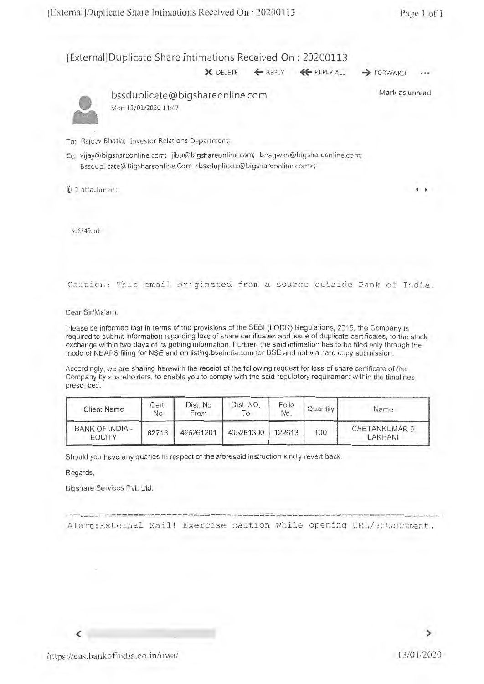### [External]Duplicate Share Intimations Received On : 20200113

**X** DELETE ← REPLY ← REPLY ALL → FORWARD



bssduplicate@bigshareonline.com Mon 13/01/2020 11:47

Mark as unread

To: Rajeev Bhatia; Investor Relations Department;

Cc: vijay@bigshareonline.com; jibu@bigshareonline.com; bhagwan@bigshareonline.com; Bssduplicate@Bigshareonline.Com <bssduplicate@bigshareonline.com>;

@ 1 attachment **<sup>4</sup>**

506749.0f

Caution: This email originated from a source outside Bank of India.

Dear Sir/Ma'am,

Please be informed that in terms of the provisions of the SEBI (LODR) Regulations, 2015, the Company is required to submit information regarding loss of share certificates and issue of duplicate certificates, to the stock exchange within two days of its getting information. Further, the said intimation has to be filed only through the mode of NEAPS filing for NSE and on listing.bseindia.com for BSE and not via hard copy submission.

Accordingly, we are sharing herewith the receipt of the following request for loss of share certificate of the Company by shareholders, to enable you to comply with the said regulatory requirement within the timelines prescribed.

| <b>Client Name</b>        | Cert.<br><b>No</b> | Dist. No<br>From | Dist. NO.<br>О | Folio<br>No. | Quantity | Name                            |
|---------------------------|--------------------|------------------|----------------|--------------|----------|---------------------------------|
| BANK OF INDIA -<br>EQUITY | 62713              | 495261201        | 495261300      | 122613       | 100      | <b>CHETANKUMAR B</b><br>LAKHANI |

Should you have any queries in respect of the aforesaid instruction kindly revert back.

Regards,

Bigshare Services Pvt. Ltd.

---------------------------------------------------------------- Alert:External Mail! Exercise caution while opening URL/attachment.

≻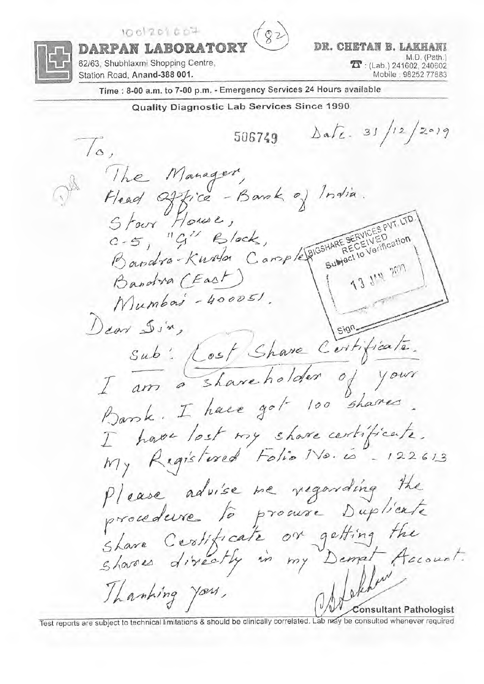$1001201607$ 



DR. CHETAN B. LAKHANI M.D. (Path.)  $\sum$ : (Lab.) 241602, 240602 Mobile: 98252 77883

DARPAN LABORATOI 62/63, Shubhlaxmi Shopping Centre, Station Road, Anand-388 001.

Time : 8-00 a.m. to 7-00 p.m. - Emergency Services 24 Hours available

Quality Diagnostic Lab Services Since 1990.  $\Delta a L = 31/12/2019$ 506749  $\sqrt{\circ}$ The Manager, Head Office - Bank of India.<br>Starr House,<br>C-5, "G" Block, Bandra-Kurton Cample PIGSHARE SERVICES PVT.<br>Bandra-Kurton Cample PIGSHARE SECEIVED Sulvact to Verification Bandra (East) Mumbois - 400051. Dear Din,  $sign$ Sub: Lost Share Certificate. I am a shareholder of your Barsk. I have got 100 shares I have lost my share certificate. My Registered Folio No. is - 122613 Please advise me regarding the procedure to procure Duplicate Share Certificate on getting the<br>Shares directly in my Demal Account. Lakher Thanking you, **Consultant Pathologist** 

Test reports are subject to technical limitations & should be clinically correlated. Lab may be consulted whenever required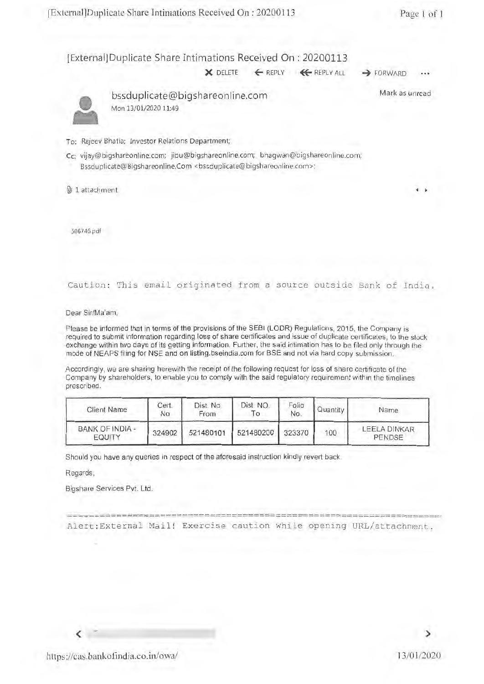#### [External] Duplicate Share Intimations Received On : 20200113

X DELETE ← REPLY ← REPLY ALL → FORWARD



bssduplicate@bigshareonline.com Mon 13/01/2020 11:49

Mark as unread

**4** 

#### To: Rajeev Bhatia; Investor Relations Department;

- Cc: vijay@bigshareonline.com; jibu@bigshareonline.com; bhagwan@bigshareonline.com; Bssduplicate@Bigshareonline.Com <br/> <br/>ssduplicate@bigshareonline.com>;
- 0.) 1 attachment

506746.pdf

Caution: This email originated from a source outside Bank of India.

Dear Sir/Ma'am,

Please be informed that in terms of the provisions of the SEBI (LODR) Regulations, 2015, the Company is required to submit information regarding loss of share certificates and issue of duplicate certificates, to the stock exchange within two days of its getting information. Further, the said intimation has to be filed only through the mode of NEAPS filing for NSE and on listing.bseindia.com for BSE and not via hard copy submission.

Accordingly, we are sharing herewith the receipt of the following request for loss of share certificate of the Company by shareholders, to enable you to comply with the said regulatory requirement within the timelines prescribed.

| <b>Client Name</b>               | Cert.<br><b>No</b> | Dist. No<br>From | Dist. NO.<br>To. | Folio<br>No. | Quantity | Name                          |
|----------------------------------|--------------------|------------------|------------------|--------------|----------|-------------------------------|
| BANK OF INDIA -<br><b>EQUITY</b> | 324902             | 521480101        | 521480200 323370 |              | 100      | <b>LEELA DINKAR</b><br>PENDSE |

Should you have any queries in respect of the aforesaid instruction kindly revert back.

Regards,

Bigshare Services Pvt. Ltd.

===== ================================================= Alert:External Mail! Exercise caution while opening URL/attachment.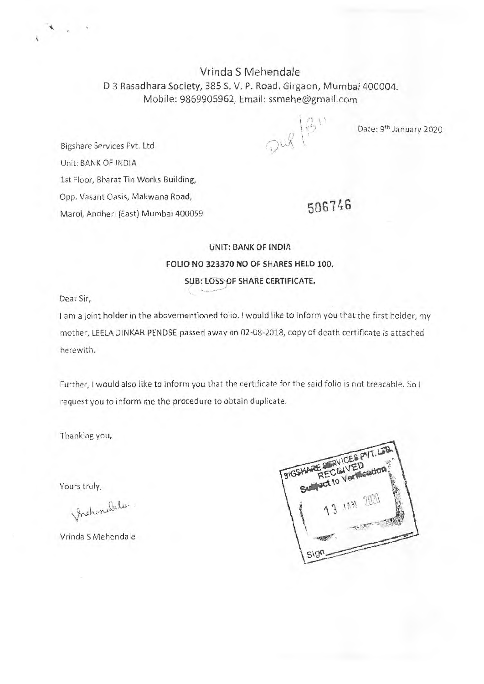# Vrinda S Mehendale D 3 Rasadhara Society, 385 S. V. P. Road, Girgaon, Mumbai 400004. Mobile: 9869905962, Email: ssmehe@gmail.com

Date: 9<sup>th</sup> January 2020

Bigshare Services Pvt. Ltd Unit: BANK OF INDIA 1st Floor, Bharat Tin Works Building, Opp. Vasant Oasis, Makwana Road, Marol, Andheri (East) Mumbai 400059

**506746** 

 $\Omega^{ud}$  (B)

# **UNIT: BANK OF INDIA FOLIO NO 323370 NO OF SHARES HELD 100. SUB: LOSS OF SHARE CERTIFICATE.**

Dear Sir,

I am a joint holder in the abovementioned folio. I would like to inform you that the first holder, my mother, LEELA DINKAR PENDSE passed away on 02-08-2018, copy of death certificate is attached herewith.

Further, I would also like to inform you that the certificate for the said folio is not treacable. So I request you to inform me the procedure to obtain duplicate.

Thanking you,

Yours truly,

Prehondele.

Vrinda S Mehendale

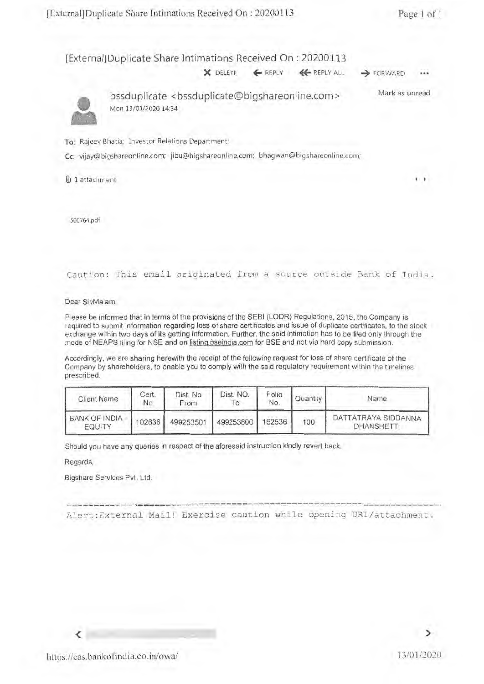#### [External] Duplicate Share Intimations Received On : 20200113

X DELETE ← REPLY ← REPLY ALL → FORWARD



bssduplicate <bssduplicate@bigshareonline.com> Mon 13/01/2020 14:34 Mark as unread

To: Rajeev Bhatia; Investor Relations Department;

Cc: vijay@bigshareonline.com; jibu@bigshareonline.com; bhagwan@bigshareonline.com;

 $0$  1 attachment

506764.pdf

Caution: This email originated from a source outside Bank of India.

Dear Sir/Ma'am,

Please be informed that in terms of the provisions of the SEBI (LODR) Regulations, 2015, the Company is required to submit information regarding loss of share certificates and issue of duplicate certificates, to the stock exchange within two days of its getting information. Further, the said intimation has to be filed only through the mode of NEAPS filing for NSE and on listinq.bseindia.com for BSE and not via hard copy submission.

Accordingly, we are sharing herewith the receipt of the following request for loss of share certificate of the Company by shareholders, to enable you to comply with the said regulatory requirement within the timelines prescribed.

| <b>Client Name</b>                      | Cert.<br>No | Dist. No.<br>From | Dist. NO. | Folio<br>No. | Quantity | Name                                     |
|-----------------------------------------|-------------|-------------------|-----------|--------------|----------|------------------------------------------|
| <b>BANK OF INDIA -</b><br><b>EQUITY</b> | 102636      | 499253501         | 499253600 | 162536       | 100      | DATTATRAYA SIDDANNA<br><b>DHANSHETTI</b> |

Should you have any queries in respect of the aforesaid instruction kindly revert back.

Regards,

Bigshare Services Pvt. Ltd.

====================================================================

Alert:External Mail! Exercise caution while opening URL/attachment.

⋗